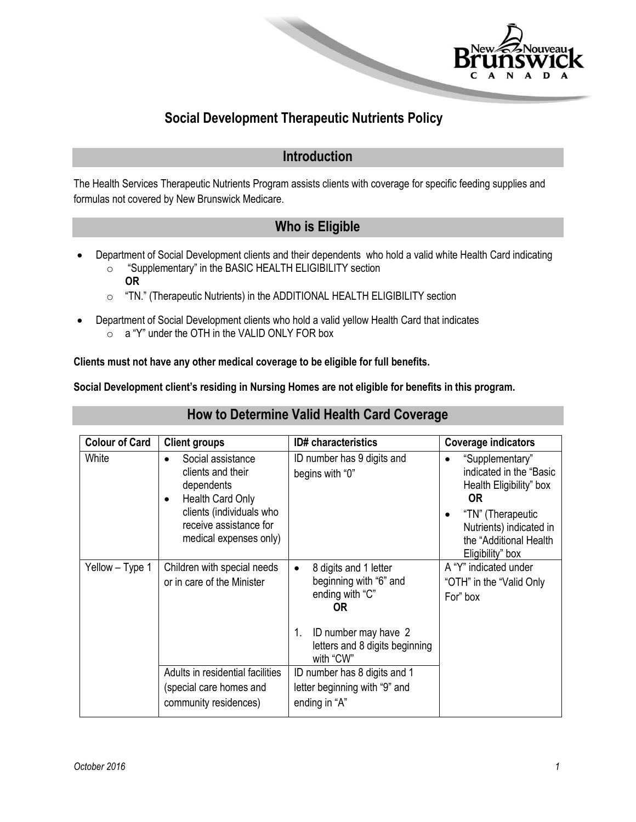

# **Social Development Therapeutic Nutrients Policy**

#### **Introduction**

The Health Services Therapeutic Nutrients Program assists clients with coverage for specific feeding supplies and formulas not covered by New Brunswick Medicare.

### **Who is Eligible**

- Department of Social Development clients and their dependents who hold a valid white Health Card indicating o "Supplementary" in the BASIC HEALTH ELIGIBILITY section
	- **OR**
	- o "TN." (Therapeutic Nutrients) in the ADDITIONAL HEALTH ELIGIBILITY section
- Department of Social Development clients who hold a valid yellow Health Card that indicates o a "Y" under the OTH in the VALID ONLY FOR box

#### **Clients must not have any other medical coverage to be eligible for full benefits.**

**Social Development client's residing in Nursing Homes are not eligible for benefits in this program.**

| <b>Colour of Card</b> | <b>Client groups</b>                                                                                                                                                               | <b>ID#</b> characteristics                                                                                                                                                | <b>Coverage indicators</b>                                                                                                                                                        |
|-----------------------|------------------------------------------------------------------------------------------------------------------------------------------------------------------------------------|---------------------------------------------------------------------------------------------------------------------------------------------------------------------------|-----------------------------------------------------------------------------------------------------------------------------------------------------------------------------------|
| White                 | Social assistance<br>$\bullet$<br>clients and their<br>dependents<br>Health Card Only<br>$\bullet$<br>clients (individuals who<br>receive assistance for<br>medical expenses only) | ID number has 9 digits and<br>begins with "0"                                                                                                                             | "Supplementary"<br>indicated in the "Basic"<br>Health Eligibility" box<br><b>OR</b><br>"TN" (Therapeutic<br>Nutrients) indicated in<br>the "Additional Health<br>Eligibility" box |
| Yellow - Type 1       | Children with special needs<br>or in care of the Minister                                                                                                                          | 8 digits and 1 letter<br>$\bullet$<br>beginning with "6" and<br>ending with "C"<br><b>OR</b><br>ID number may have 2<br>1.<br>letters and 8 digits beginning<br>with "CW" | A "Y" indicated under<br>"OTH" in the "Valid Only<br>For" box                                                                                                                     |
|                       | Adults in residential facilities<br>(special care homes and<br>community residences)                                                                                               | ID number has 8 digits and 1<br>letter beginning with "9" and<br>ending in "A"                                                                                            |                                                                                                                                                                                   |

#### **How to Determine Valid Health Card Coverage**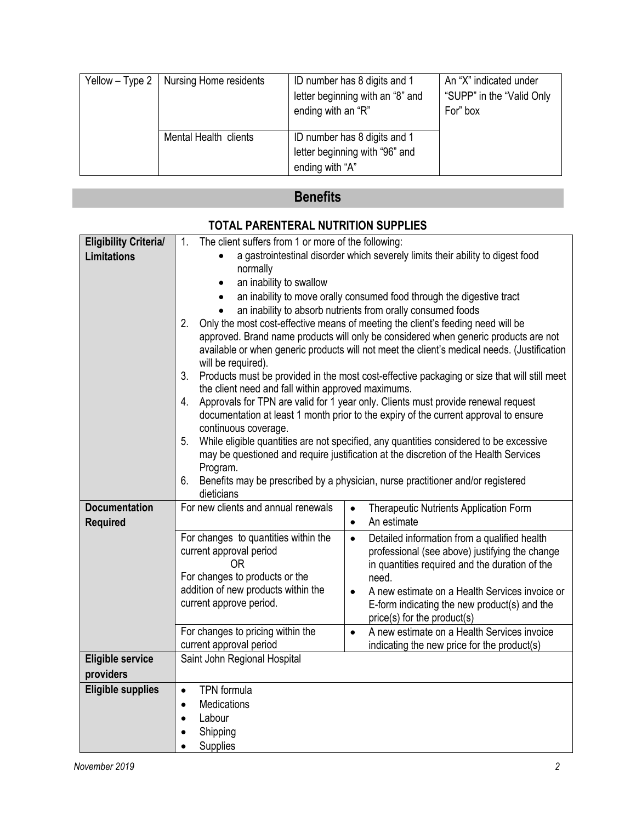| Yellow $-$ Type 2   Nursing Home residents | ID number has 8 digits and 1<br>letter beginning with an "8" and<br>ending with an "R" | An "X" indicated under<br>"SUPP" in the "Valid Only"<br>For" box |
|--------------------------------------------|----------------------------------------------------------------------------------------|------------------------------------------------------------------|
| Mental Health clients                      | ID number has 8 digits and 1<br>letter beginning with "96" and<br>ending with "A"      |                                                                  |

# **Benefits**

| <b>Eligibility Criteria/</b> | The client suffers from 1 or more of the following:<br>1.                                                                                                                    |                                                                                                         |  |
|------------------------------|------------------------------------------------------------------------------------------------------------------------------------------------------------------------------|---------------------------------------------------------------------------------------------------------|--|
| <b>Limitations</b>           | a gastrointestinal disorder which severely limits their ability to digest food                                                                                               |                                                                                                         |  |
|                              | normally                                                                                                                                                                     |                                                                                                         |  |
|                              | an inability to swallow<br>$\bullet$                                                                                                                                         |                                                                                                         |  |
|                              | an inability to move orally consumed food through the digestive tract<br>$\bullet$                                                                                           |                                                                                                         |  |
|                              | an inability to absorb nutrients from orally consumed foods                                                                                                                  |                                                                                                         |  |
|                              | Only the most cost-effective means of meeting the client's feeding need will be<br>2.<br>approved. Brand name products will only be considered when generic products are not |                                                                                                         |  |
|                              | available or when generic products will not meet the client's medical needs. (Justification                                                                                  |                                                                                                         |  |
|                              | will be required).                                                                                                                                                           |                                                                                                         |  |
|                              | Products must be provided in the most cost-effective packaging or size that will still meet<br>3.                                                                            |                                                                                                         |  |
|                              | the client need and fall within approved maximums.                                                                                                                           |                                                                                                         |  |
|                              | Approvals for TPN are valid for 1 year only. Clients must provide renewal request<br>4.                                                                                      |                                                                                                         |  |
|                              | documentation at least 1 month prior to the expiry of the current approval to ensure<br>continuous coverage.                                                                 |                                                                                                         |  |
|                              | While eligible quantities are not specified, any quantities considered to be excessive<br>5 <sub>1</sub>                                                                     |                                                                                                         |  |
|                              | may be questioned and require justification at the discretion of the Health Services                                                                                         |                                                                                                         |  |
|                              | Program.                                                                                                                                                                     |                                                                                                         |  |
|                              | Benefits may be prescribed by a physician, nurse practitioner and/or registered<br>6.                                                                                        |                                                                                                         |  |
| <b>Documentation</b>         | dieticians<br>For new clients and annual renewals                                                                                                                            |                                                                                                         |  |
| <b>Required</b>              |                                                                                                                                                                              | Therapeutic Nutrients Application Form<br>$\bullet$<br>An estimate<br>$\bullet$                         |  |
|                              | For changes to quantities within the                                                                                                                                         | Detailed information from a qualified health<br>$\bullet$                                               |  |
|                              | current approval period                                                                                                                                                      | professional (see above) justifying the change                                                          |  |
|                              | <b>OR</b>                                                                                                                                                                    | in quantities required and the duration of the                                                          |  |
|                              | For changes to products or the                                                                                                                                               | need.                                                                                                   |  |
|                              | addition of new products within the                                                                                                                                          | A new estimate on a Health Services invoice or<br>$\bullet$                                             |  |
|                              | current approve period.                                                                                                                                                      | E-form indicating the new product(s) and the                                                            |  |
|                              |                                                                                                                                                                              | price(s) for the product(s)                                                                             |  |
|                              | For changes to pricing within the<br>current approval period                                                                                                                 | A new estimate on a Health Services invoice<br>$\bullet$<br>indicating the new price for the product(s) |  |
| <b>Eligible service</b>      | Saint John Regional Hospital                                                                                                                                                 |                                                                                                         |  |
| providers                    |                                                                                                                                                                              |                                                                                                         |  |
| <b>Eligible supplies</b>     | <b>TPN</b> formula<br>$\bullet$                                                                                                                                              |                                                                                                         |  |
|                              | Medications<br>$\bullet$                                                                                                                                                     |                                                                                                         |  |
|                              | Labour<br>$\bullet$                                                                                                                                                          |                                                                                                         |  |
|                              | Shipping                                                                                                                                                                     |                                                                                                         |  |
|                              | Supplies                                                                                                                                                                     |                                                                                                         |  |

### **TOTAL PARENTERAL NUTRITION SUPPLIES**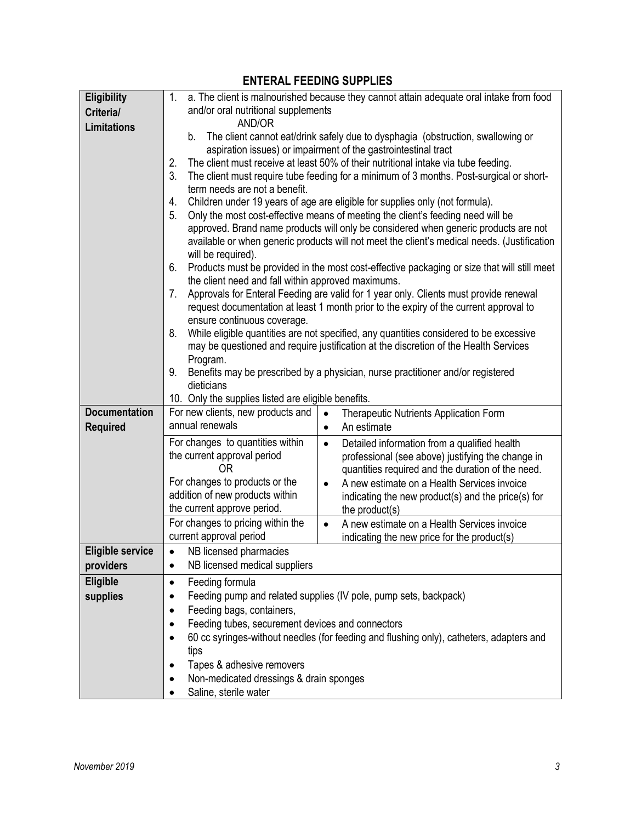| <b>Eligibility</b>      | a. The client is malnourished because they cannot attain adequate oral intake from food<br>1.                                                                                                                                                                                                                                                                                                                                                                                                                                                                        |                                                                                                         |  |  |
|-------------------------|----------------------------------------------------------------------------------------------------------------------------------------------------------------------------------------------------------------------------------------------------------------------------------------------------------------------------------------------------------------------------------------------------------------------------------------------------------------------------------------------------------------------------------------------------------------------|---------------------------------------------------------------------------------------------------------|--|--|
| Criteria/               | and/or oral nutritional supplements                                                                                                                                                                                                                                                                                                                                                                                                                                                                                                                                  |                                                                                                         |  |  |
| <b>Limitations</b>      | AND/OR                                                                                                                                                                                                                                                                                                                                                                                                                                                                                                                                                               |                                                                                                         |  |  |
|                         | The client cannot eat/drink safely due to dysphagia (obstruction, swallowing or<br>b.<br>aspiration issues) or impairment of the gastrointestinal tract<br>The client must receive at least 50% of their nutritional intake via tube feeding.<br>2.<br>3.<br>The client must require tube feeding for a minimum of 3 months. Post-surgical or short-<br>term needs are not a benefit.<br>Children under 19 years of age are eligible for supplies only (not formula).<br>4.<br>5.<br>Only the most cost-effective means of meeting the client's feeding need will be |                                                                                                         |  |  |
|                         |                                                                                                                                                                                                                                                                                                                                                                                                                                                                                                                                                                      |                                                                                                         |  |  |
|                         |                                                                                                                                                                                                                                                                                                                                                                                                                                                                                                                                                                      |                                                                                                         |  |  |
|                         |                                                                                                                                                                                                                                                                                                                                                                                                                                                                                                                                                                      |                                                                                                         |  |  |
|                         |                                                                                                                                                                                                                                                                                                                                                                                                                                                                                                                                                                      |                                                                                                         |  |  |
|                         |                                                                                                                                                                                                                                                                                                                                                                                                                                                                                                                                                                      |                                                                                                         |  |  |
|                         |                                                                                                                                                                                                                                                                                                                                                                                                                                                                                                                                                                      | approved. Brand name products will only be considered when generic products are not                     |  |  |
|                         | available or when generic products will not meet the client's medical needs. (Justification<br>will be required).<br>6.<br>Products must be provided in the most cost-effective packaging or size that will still meet<br>the client need and fall within approved maximums.                                                                                                                                                                                                                                                                                         |                                                                                                         |  |  |
|                         |                                                                                                                                                                                                                                                                                                                                                                                                                                                                                                                                                                      |                                                                                                         |  |  |
|                         |                                                                                                                                                                                                                                                                                                                                                                                                                                                                                                                                                                      |                                                                                                         |  |  |
|                         |                                                                                                                                                                                                                                                                                                                                                                                                                                                                                                                                                                      |                                                                                                         |  |  |
|                         | 7.                                                                                                                                                                                                                                                                                                                                                                                                                                                                                                                                                                   | Approvals for Enteral Feeding are valid for 1 year only. Clients must provide renewal                   |  |  |
|                         |                                                                                                                                                                                                                                                                                                                                                                                                                                                                                                                                                                      | request documentation at least 1 month prior to the expiry of the current approval to                   |  |  |
|                         | ensure continuous coverage.<br>8.                                                                                                                                                                                                                                                                                                                                                                                                                                                                                                                                    | While eligible quantities are not specified, any quantities considered to be excessive                  |  |  |
|                         |                                                                                                                                                                                                                                                                                                                                                                                                                                                                                                                                                                      | may be questioned and require justification at the discretion of the Health Services                    |  |  |
|                         | Program.                                                                                                                                                                                                                                                                                                                                                                                                                                                                                                                                                             |                                                                                                         |  |  |
|                         | 9.                                                                                                                                                                                                                                                                                                                                                                                                                                                                                                                                                                   | Benefits may be prescribed by a physician, nurse practitioner and/or registered                         |  |  |
|                         | dieticians                                                                                                                                                                                                                                                                                                                                                                                                                                                                                                                                                           |                                                                                                         |  |  |
|                         | 10. Only the supplies listed are eligible benefits.                                                                                                                                                                                                                                                                                                                                                                                                                                                                                                                  |                                                                                                         |  |  |
| <b>Documentation</b>    | For new clients, new products and                                                                                                                                                                                                                                                                                                                                                                                                                                                                                                                                    | <b>Therapeutic Nutrients Application Form</b><br>$\bullet$                                              |  |  |
| <b>Required</b>         | annual renewals                                                                                                                                                                                                                                                                                                                                                                                                                                                                                                                                                      | An estimate<br>$\bullet$                                                                                |  |  |
|                         | For changes to quantities within                                                                                                                                                                                                                                                                                                                                                                                                                                                                                                                                     | Detailed information from a qualified health<br>$\bullet$                                               |  |  |
|                         | the current approval period                                                                                                                                                                                                                                                                                                                                                                                                                                                                                                                                          | professional (see above) justifying the change in                                                       |  |  |
|                         | 0 <sub>R</sub>                                                                                                                                                                                                                                                                                                                                                                                                                                                                                                                                                       | quantities required and the duration of the need.                                                       |  |  |
|                         | For changes to products or the                                                                                                                                                                                                                                                                                                                                                                                                                                                                                                                                       | A new estimate on a Health Services invoice<br>$\bullet$                                                |  |  |
|                         | addition of new products within                                                                                                                                                                                                                                                                                                                                                                                                                                                                                                                                      | indicating the new product(s) and the price(s) for                                                      |  |  |
|                         | the current approve period.                                                                                                                                                                                                                                                                                                                                                                                                                                                                                                                                          | the product(s)                                                                                          |  |  |
|                         | For changes to pricing within the<br>current approval period                                                                                                                                                                                                                                                                                                                                                                                                                                                                                                         | A new estimate on a Health Services invoice<br>$\bullet$<br>indicating the new price for the product(s) |  |  |
| <b>Eligible service</b> | NB licensed pharmacies<br>٠                                                                                                                                                                                                                                                                                                                                                                                                                                                                                                                                          |                                                                                                         |  |  |
| providers               | NB licensed medical suppliers<br>$\bullet$                                                                                                                                                                                                                                                                                                                                                                                                                                                                                                                           |                                                                                                         |  |  |
| Eligible                | Feeding formula<br>$\bullet$                                                                                                                                                                                                                                                                                                                                                                                                                                                                                                                                         |                                                                                                         |  |  |
| supplies                | Feeding pump and related supplies (IV pole, pump sets, backpack)<br>$\bullet$                                                                                                                                                                                                                                                                                                                                                                                                                                                                                        |                                                                                                         |  |  |
|                         | Feeding bags, containers,<br>$\bullet$<br>Feeding tubes, securement devices and connectors<br>$\bullet$<br>60 cc syringes-without needles (for feeding and flushing only), catheters, adapters and<br>$\bullet$                                                                                                                                                                                                                                                                                                                                                      |                                                                                                         |  |  |
|                         |                                                                                                                                                                                                                                                                                                                                                                                                                                                                                                                                                                      |                                                                                                         |  |  |
|                         |                                                                                                                                                                                                                                                                                                                                                                                                                                                                                                                                                                      |                                                                                                         |  |  |
|                         | tips<br>Tapes & adhesive removers<br>$\bullet$<br>Non-medicated dressings & drain sponges<br>$\bullet$<br>Saline, sterile water                                                                                                                                                                                                                                                                                                                                                                                                                                      |                                                                                                         |  |  |
|                         |                                                                                                                                                                                                                                                                                                                                                                                                                                                                                                                                                                      |                                                                                                         |  |  |
|                         |                                                                                                                                                                                                                                                                                                                                                                                                                                                                                                                                                                      |                                                                                                         |  |  |
|                         |                                                                                                                                                                                                                                                                                                                                                                                                                                                                                                                                                                      |                                                                                                         |  |  |

### **ENTERAL FEEDING SUPPLIES**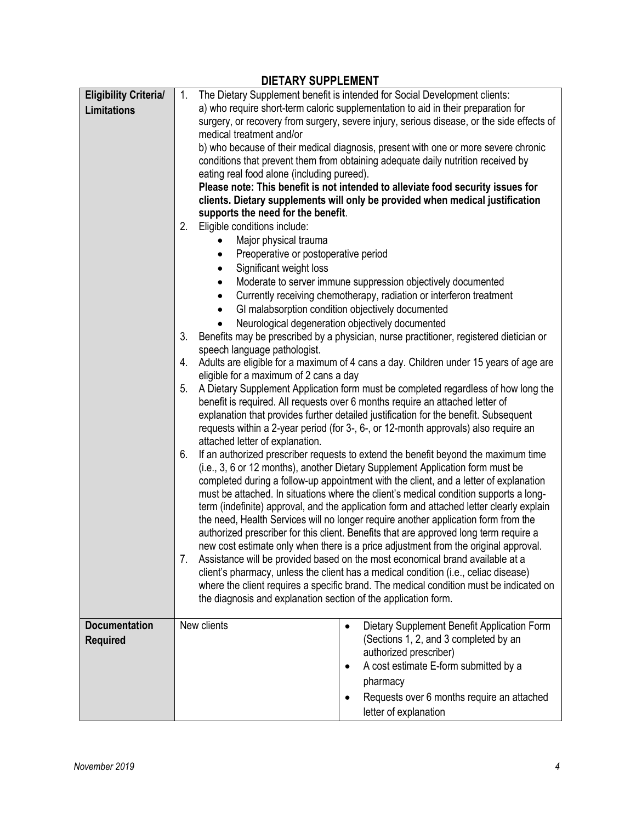| <b>DIETARY SUPPLEMENT</b>    |                                                                                                                     |                                                                                                                                                                             |  |
|------------------------------|---------------------------------------------------------------------------------------------------------------------|-----------------------------------------------------------------------------------------------------------------------------------------------------------------------------|--|
| <b>Eligibility Criterial</b> | 1.                                                                                                                  | The Dietary Supplement benefit is intended for Social Development clients:                                                                                                  |  |
| <b>Limitations</b>           |                                                                                                                     | a) who require short-term caloric supplementation to aid in their preparation for                                                                                           |  |
|                              |                                                                                                                     | surgery, or recovery from surgery, severe injury, serious disease, or the side effects of                                                                                   |  |
|                              | medical treatment and/or                                                                                            |                                                                                                                                                                             |  |
|                              |                                                                                                                     | b) who because of their medical diagnosis, present with one or more severe chronic                                                                                          |  |
|                              |                                                                                                                     | conditions that prevent them from obtaining adequate daily nutrition received by                                                                                            |  |
|                              | eating real food alone (including pureed).                                                                          |                                                                                                                                                                             |  |
|                              |                                                                                                                     | Please note: This benefit is not intended to alleviate food security issues for                                                                                             |  |
|                              | clients. Dietary supplements will only be provided when medical justification<br>supports the need for the benefit. |                                                                                                                                                                             |  |
|                              | Eligible conditions include:<br>2.                                                                                  |                                                                                                                                                                             |  |
|                              | Major physical trauma                                                                                               |                                                                                                                                                                             |  |
|                              | Preoperative or postoperative period<br>٠                                                                           |                                                                                                                                                                             |  |
|                              | Significant weight loss<br>$\bullet$                                                                                |                                                                                                                                                                             |  |
|                              | $\bullet$                                                                                                           | Moderate to server immune suppression objectively documented                                                                                                                |  |
|                              | $\bullet$                                                                                                           | Currently receiving chemotherapy, radiation or interferon treatment                                                                                                         |  |
|                              | GI malabsorption condition objectively documented<br>$\bullet$                                                      |                                                                                                                                                                             |  |
|                              | Neurological degeneration objectively documented                                                                    |                                                                                                                                                                             |  |
|                              | 3.                                                                                                                  | Benefits may be prescribed by a physician, nurse practitioner, registered dietician or                                                                                      |  |
|                              | speech language pathologist.                                                                                        |                                                                                                                                                                             |  |
|                              | 4.                                                                                                                  | Adults are eligible for a maximum of 4 cans a day. Children under 15 years of age are                                                                                       |  |
|                              | eligible for a maximum of 2 cans a day                                                                              |                                                                                                                                                                             |  |
|                              | 5.                                                                                                                  | A Dietary Supplement Application form must be completed regardless of how long the                                                                                          |  |
|                              |                                                                                                                     | benefit is required. All requests over 6 months require an attached letter of                                                                                               |  |
|                              |                                                                                                                     | explanation that provides further detailed justification for the benefit. Subsequent<br>requests within a 2-year period (for 3-, 6-, or 12-month approvals) also require an |  |
|                              |                                                                                                                     |                                                                                                                                                                             |  |
|                              | attached letter of explanation.                                                                                     |                                                                                                                                                                             |  |
|                              | 6.                                                                                                                  | If an authorized prescriber requests to extend the benefit beyond the maximum time                                                                                          |  |
|                              |                                                                                                                     | (i.e., 3, 6 or 12 months), another Dietary Supplement Application form must be<br>completed during a follow-up appointment with the client, and a letter of explanation     |  |
|                              |                                                                                                                     | must be attached. In situations where the client's medical condition supports a long-                                                                                       |  |
|                              |                                                                                                                     | term (indefinite) approval, and the application form and attached letter clearly explain                                                                                    |  |
|                              |                                                                                                                     | the need, Health Services will no longer require another application form from the                                                                                          |  |
|                              |                                                                                                                     | authorized prescriber for this client. Benefits that are approved long term require a                                                                                       |  |
|                              |                                                                                                                     | new cost estimate only when there is a price adjustment from the original approval.                                                                                         |  |
|                              | 7.                                                                                                                  | Assistance will be provided based on the most economical brand available at a                                                                                               |  |
|                              |                                                                                                                     | client's pharmacy, unless the client has a medical condition (i.e., celiac disease)                                                                                         |  |
|                              |                                                                                                                     | where the client requires a specific brand. The medical condition must be indicated on                                                                                      |  |
|                              | the diagnosis and explanation section of the application form.                                                      |                                                                                                                                                                             |  |
|                              |                                                                                                                     |                                                                                                                                                                             |  |
| <b>Documentation</b>         | New clients                                                                                                         | Dietary Supplement Benefit Application Form<br>$\bullet$                                                                                                                    |  |
| <b>Required</b>              |                                                                                                                     | (Sections 1, 2, and 3 completed by an                                                                                                                                       |  |
|                              |                                                                                                                     | authorized prescriber)                                                                                                                                                      |  |
|                              |                                                                                                                     | A cost estimate E-form submitted by a<br>$\bullet$                                                                                                                          |  |
|                              |                                                                                                                     | pharmacy                                                                                                                                                                    |  |
|                              |                                                                                                                     | Requests over 6 months require an attached                                                                                                                                  |  |
|                              |                                                                                                                     | letter of explanation                                                                                                                                                       |  |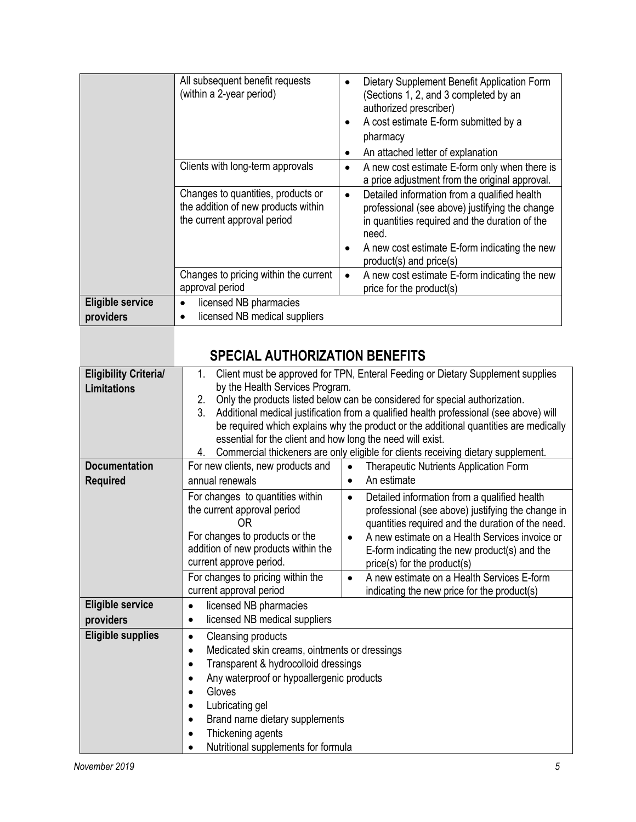|                                      | All subsequent benefit requests<br>(within a 2-year period)                                              | $\bullet$<br>$\bullet$<br>$\bullet$ | Dietary Supplement Benefit Application Form<br>(Sections 1, 2, and 3 completed by an<br>authorized prescriber)<br>A cost estimate E-form submitted by a<br>pharmacy<br>An attached letter of explanation                              |
|--------------------------------------|----------------------------------------------------------------------------------------------------------|-------------------------------------|---------------------------------------------------------------------------------------------------------------------------------------------------------------------------------------------------------------------------------------|
|                                      | Clients with long-term approvals                                                                         |                                     | A new cost estimate E-form only when there is<br>a price adjustment from the original approval.                                                                                                                                       |
|                                      | Changes to quantities, products or<br>the addition of new products within<br>the current approval period | $\bullet$                           | Detailed information from a qualified health<br>professional (see above) justifying the change<br>in quantities required and the duration of the<br>need.<br>A new cost estimate E-form indicating the new<br>product(s) and price(s) |
|                                      | Changes to pricing within the current<br>approval period                                                 | $\bullet$                           | A new cost estimate E-form indicating the new<br>price for the product(s)                                                                                                                                                             |
| <b>Eligible service</b><br>providers | licensed NB pharmacies<br>٠<br>licensed NB medical suppliers                                             |                                     |                                                                                                                                                                                                                                       |

| <b>Eligibility Criterial</b> | Client must be approved for TPN, Enteral Feeding or Dietary Supplement supplies<br>1.         |                                                           |  |
|------------------------------|-----------------------------------------------------------------------------------------------|-----------------------------------------------------------|--|
| <b>Limitations</b>           | by the Health Services Program.                                                               |                                                           |  |
|                              | Only the products listed below can be considered for special authorization.<br>2.             |                                                           |  |
|                              | 3.<br>Additional medical justification from a qualified health professional (see above) will  |                                                           |  |
|                              | be required which explains why the product or the additional quantities are medically         |                                                           |  |
|                              | essential for the client and how long the need will exist.                                    |                                                           |  |
|                              | Commercial thickeners are only eligible for clients receiving dietary supplement.<br>4.       |                                                           |  |
| <b>Documentation</b>         | For new clients, new products and<br>Therapeutic Nutrients Application Form                   |                                                           |  |
| <b>Required</b>              | An estimate<br>annual renewals<br>$\bullet$                                                   |                                                           |  |
|                              | For changes to quantities within                                                              | Detailed information from a qualified health<br>$\bullet$ |  |
|                              | the current approval period                                                                   | professional (see above) justifying the change in         |  |
|                              | 0R                                                                                            | quantities required and the duration of the need.         |  |
|                              | For changes to products or the<br>A new estimate on a Health Services invoice or<br>$\bullet$ |                                                           |  |
|                              | addition of new products within the<br>E-form indicating the new product(s) and the           |                                                           |  |
|                              | current approve period.                                                                       | price(s) for the product(s)                               |  |
|                              | For changes to pricing within the                                                             | A new estimate on a Health Services E-form<br>$\bullet$   |  |
|                              | current approval period                                                                       | indicating the new price for the product(s)               |  |
| <b>Eligible service</b>      | licensed NB pharmacies<br>$\bullet$                                                           |                                                           |  |
| providers                    | licensed NB medical suppliers                                                                 |                                                           |  |
| <b>Eligible supplies</b>     | Cleansing products<br>$\bullet$                                                               |                                                           |  |
|                              | Medicated skin creams, ointments or dressings<br>$\bullet$                                    |                                                           |  |
|                              | Transparent & hydrocolloid dressings<br>$\bullet$                                             |                                                           |  |
|                              | Any waterproof or hypoallergenic products                                                     |                                                           |  |
|                              | Gloves<br>$\bullet$                                                                           |                                                           |  |
|                              | Lubricating gel<br>$\bullet$                                                                  |                                                           |  |
|                              | Brand name dietary supplements                                                                |                                                           |  |
|                              | Thickening agents                                                                             |                                                           |  |
|                              | Nutritional supplements for formula                                                           |                                                           |  |